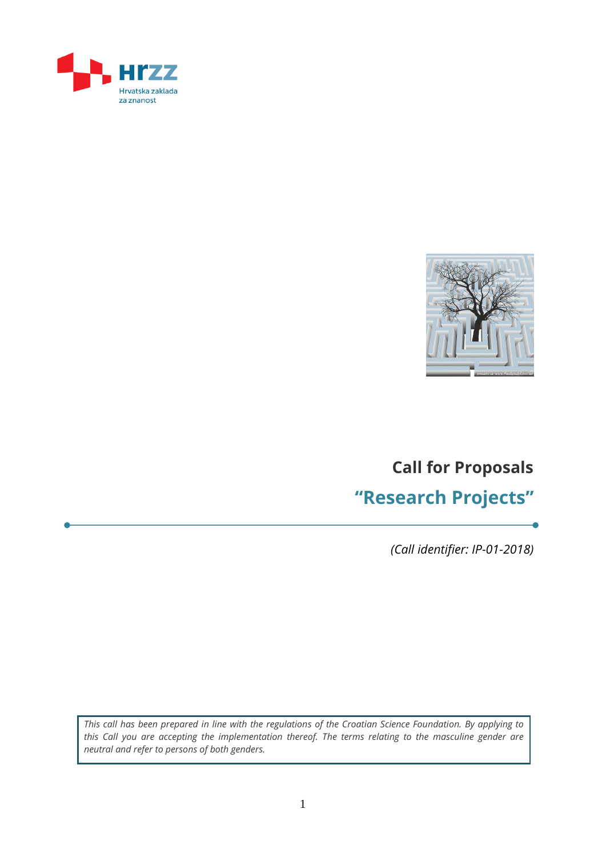



# **Call for Proposals "Research Projects"**

*(Call identifier: IP-01-2018)*

*This call has been prepared in line with the regulations of the Croatian Science Foundation. By applying to this Call you are accepting the implementation thereof. The terms relating to the masculine gender are neutral and refer to persons of both genders.*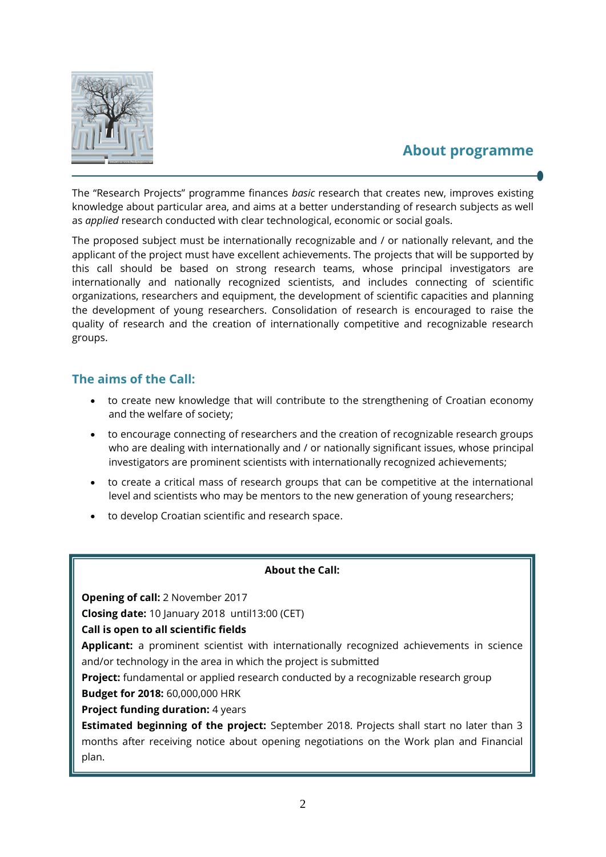

### **About programme**

The "Research Projects" programme finances *basic* research that creates new, improves existing knowledge about particular area, and aims at a better understanding of research subjects as well as *applied* research conducted with clear technological, economic or social goals.

The proposed subject must be internationally recognizable and / or nationally relevant, and the applicant of the project must have excellent achievements. The projects that will be supported by this call should be based on strong research teams, whose principal investigators are internationally and nationally recognized scientists, and includes connecting of scientific organizations, researchers and equipment, the development of scientific capacities and planning the development of young researchers. Consolidation of research is encouraged to raise the quality of research and the creation of internationally competitive and recognizable research groups.

### **The aims of the Call:**

- to create new knowledge that will contribute to the strengthening of Croatian economy and the welfare of society;
- to encourage connecting of researchers and the creation of recognizable research groups who are dealing with internationally and / or nationally significant issues, whose principal investigators are prominent scientists with internationally recognized achievements;
- to create a critical mass of research groups that can be competitive at the international level and scientists who may be mentors to the new generation of young researchers;
- to develop Croatian scientific and research space.

### **About the Call:**

**Opening of call:** 2 November 2017

**Closing date:** 10 January 2018 until13:00 (CET)

**Call is open to all scientific fields** 

**Applicant:** a prominent scientist with internationally recognized achievements in science and/or technology in the area in which the project is submitted

**Project:** fundamental or applied research conducted by a recognizable research group

**Budget for 2018:** 60,000,000 HRK

**Project funding duration: 4 years** 

**Estimated beginning of the project:** September 2018. Projects shall start no later than 3 months after receiving notice about opening negotiations on the Work plan and Financial plan.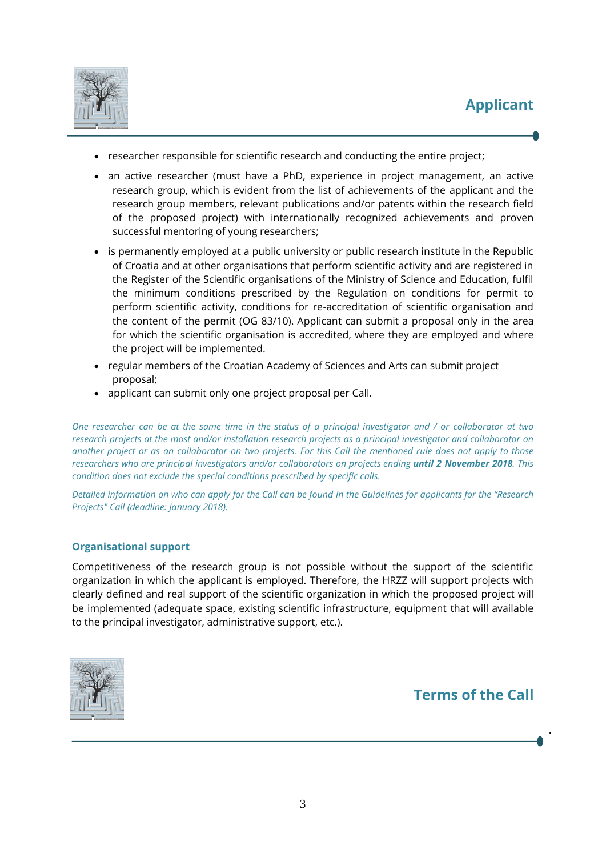

- researcher responsible for scientific research and conducting the entire project;
- an active researcher (must have a PhD, experience in project management, an active research group, which is evident from the list of achievements of the applicant and the research group members, relevant publications and/or patents within the research field of the proposed project) with internationally recognized achievements and proven successful mentoring of young researchers;
- is permanently employed at a public university or public research institute in the Republic of Croatia and at other organisations that perform scientific activity and are registered in the Register of the Scientific organisations of the Ministry of Science and Education, fulfil the minimum conditions prescribed by the Regulation on conditions for permit to perform scientific activity, conditions for re-accreditation of scientific organisation and the content of the permit (OG 83/10). Applicant can submit a proposal only in the area for which the scientific organisation is accredited, where they are employed and where the project will be implemented.
- regular members of the Croatian Academy of Sciences and Arts can submit project proposal;
- applicant can submit only one project proposal per Call.

*One researcher can be at the same time in the status of a principal investigator and / or collaborator at two research projects at the most and/or installation research projects as a principal investigator and collaborator on another project or as an collaborator on two projects. For this Call the mentioned rule does not apply to those researchers who are principal investigators and/or collaborators on projects ending until 2 November 2018. This condition does not exclude the special conditions prescribed by specific calls.*

*Detailed information on who can apply for the Call can be found in the Guidelines for applicants for the "Research Projects" Call (deadline: January 2018).*

### **Organisational support**

Competitiveness of the research group is not possible without the support of the scientific organization in which the applicant is employed. Therefore, the HRZZ will support projects with clearly defined and real support of the scientific organization in which the proposed project will be implemented (adequate space, existing scientific infrastructure, equipment that will available to the principal investigator, administrative support, etc.).



**Terms of the Call**

.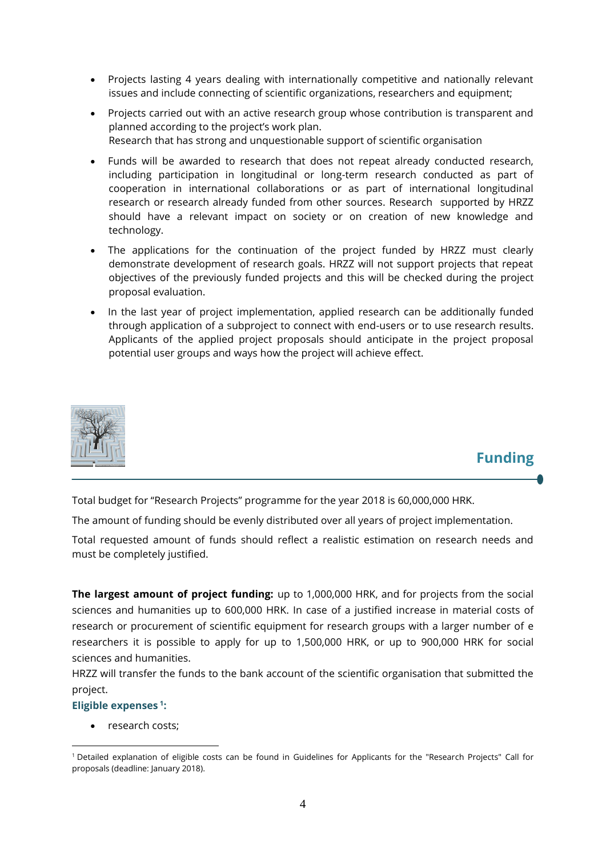- Projects lasting 4 years dealing with internationally competitive and nationally relevant issues and include connecting of scientific organizations, researchers and equipment;
- Projects carried out with an active research group whose contribution is transparent and planned according to the project's work plan. Research that has strong and unquestionable support of scientific organisation
- Funds will be awarded to research that does not repeat already conducted research, including participation in longitudinal or long-term research conducted as part of cooperation in international collaborations or as part of international longitudinal research or research already funded from other sources. Research supported by HRZZ should have a relevant impact on society or on creation of new knowledge and technology.
- The applications for the continuation of the project funded by HRZZ must clearly demonstrate development of research goals. HRZZ will not support projects that repeat objectives of the previously funded projects and this will be checked during the project proposal evaluation.
- In the last year of project implementation, applied research can be additionally funded through application of a subproject to connect with end-users or to use research results. Applicants of the applied project proposals should anticipate in the project proposal potential user groups and ways how the project will achieve effect.



## **Funding**

Total budget for "Research Projects" programme for the year 2018 is 60,000,000 HRK.

The amount of funding should be evenly distributed over all years of project implementation.

Total requested amount of funds should reflect a realistic estimation on research needs and must be completely justified.

**The largest amount of project funding:** up to 1,000,000 HRK, and for projects from the social sciences and humanities up to 600,000 HRK. In case of a justified increase in material costs of research or procurement of scientific equipment for research groups with a larger number of e researchers it is possible to apply for up to 1,500,000 HRK, or up to 900,000 HRK for social sciences and humanities.

HRZZ will transfer the funds to the bank account of the scientific organisation that submitted the project.

### **Eligible expenses <sup>1</sup> :**

research costs;

<sup>1</sup> <sup>1</sup> Detailed explanation of eligible costs can be found in Guidelines for Applicants for the "Research Projects" Call for proposals (deadline: January 2018).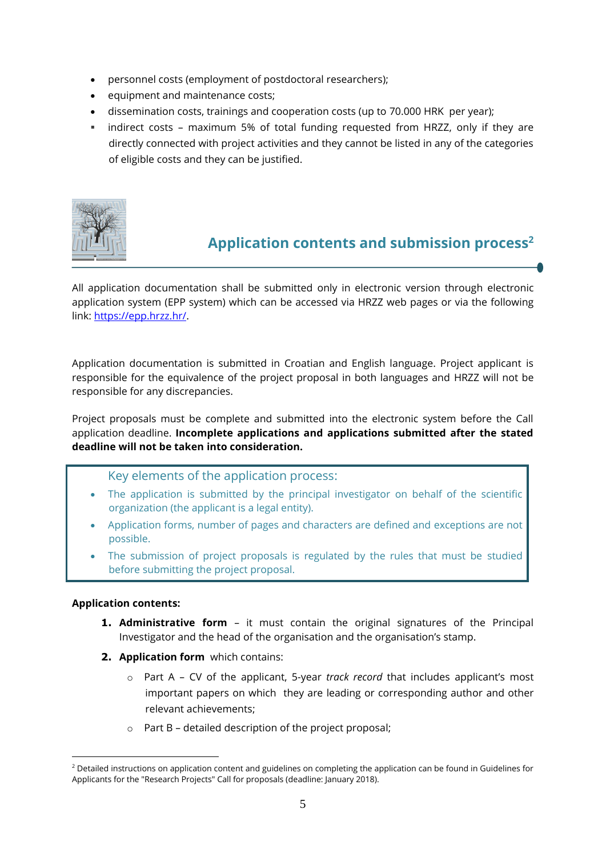- personnel costs (employment of postdoctoral researchers);
- equipment and maintenance costs;
- dissemination costs, trainings and cooperation costs (up to 70.000 HRK per year);
- indirect costs maximum 5% of total funding requested from HRZZ, only if they are directly connected with project activities and they cannot be listed in any of the categories of eligible costs and they can be justified.



# **Application contents and submission process<sup>2</sup>**

All application documentation shall be submitted only in electronic version through electronic application system (EPP system) which can be accessed via HRZZ web pages or via the following link: [https://epp.hrzz.hr/.](https://epp.hrzz.hr/) 

Application documentation is submitted in Croatian and English language. Project applicant is responsible for the equivalence of the project proposal in both languages and HRZZ will not be responsible for any discrepancies.

Project proposals must be complete and submitted into the electronic system before the Call application deadline. **Incomplete applications and applications submitted after the stated deadline will not be taken into consideration.**

Key elements of the application process:

- The application is submitted by the principal investigator on behalf of the scientific organization (the applicant is a legal entity).
- Application forms, number of pages and characters are defined and exceptions are not possible.
- The submission of project proposals is regulated by the rules that must be studied before submitting the project proposal.

### **Application contents:**

1

- **1. Administrative form** it must contain the original signatures of the Principal Investigator and the head of the organisation and the organisation's stamp.
- **2. Application form** which contains:
	- o Part A CV of the applicant, 5-year *track record* that includes applicant's most important papers on which they are leading or corresponding author and other relevant achievements;
	- o Part B detailed description of the project proposal;

<sup>&</sup>lt;sup>2</sup> Detailed instructions on application content and guidelines on completing the application can be found in Guidelines for Applicants for the "Research Projects" Call for proposals (deadline: January 2018).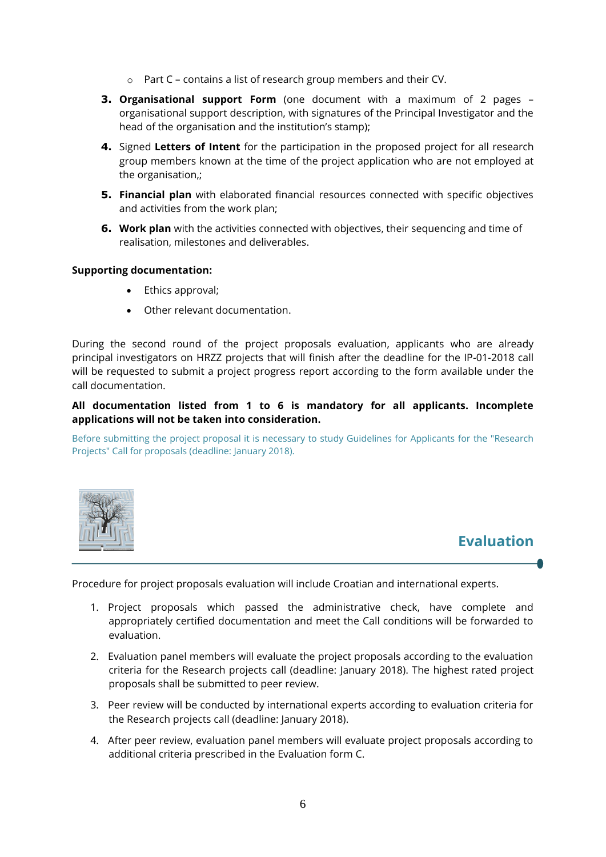- o Part C contains a list of research group members and their CV.
- **3. Organisational support Form** (one document with a maximum of 2 pages organisational support description, with signatures of the Principal Investigator and the head of the organisation and the institution's stamp);
- **4.** Signed **Letters of Intent** for the participation in the proposed project for all research group members known at the time of the project application who are not employed at the organisation,;
- **5. Financial plan** with elaborated financial resources connected with specific objectives and activities from the work plan;
- **6. Work plan** with the activities connected with objectives, their sequencing and time of realisation, milestones and deliverables.

#### **Supporting documentation:**

- Ethics approval;
- Other relevant documentation.

During the second round of the project proposals evaluation, applicants who are already principal investigators on HRZZ projects that will finish after the deadline for the IP-01-2018 call will be requested to submit a project progress report according to the form available under the call documentation.

### **All documentation listed from 1 to 6 is mandatory for all applicants. Incomplete applications will not be taken into consideration.**

Before submitting the project proposal it is necessary to study Guidelines for Applicants for the "Research Projects" Call for proposals (deadline: January 2018).



# **Evaluation**

Procedure for project proposals evaluation will include Croatian and international experts.

- 1. Project proposals which passed the administrative check, have complete and appropriately certified documentation and meet the Call conditions will be forwarded to evaluation.
- 2. Evaluation panel members will evaluate the project proposals according to the evaluation criteria for the Research projects call (deadline: January 2018). The highest rated project proposals shall be submitted to peer review.
- 3. Peer review will be conducted by international experts according to evaluation criteria for the Research projects call (deadline: January 2018).
- 4. After peer review, evaluation panel members will evaluate project proposals according to additional criteria prescribed in the Evaluation form C.